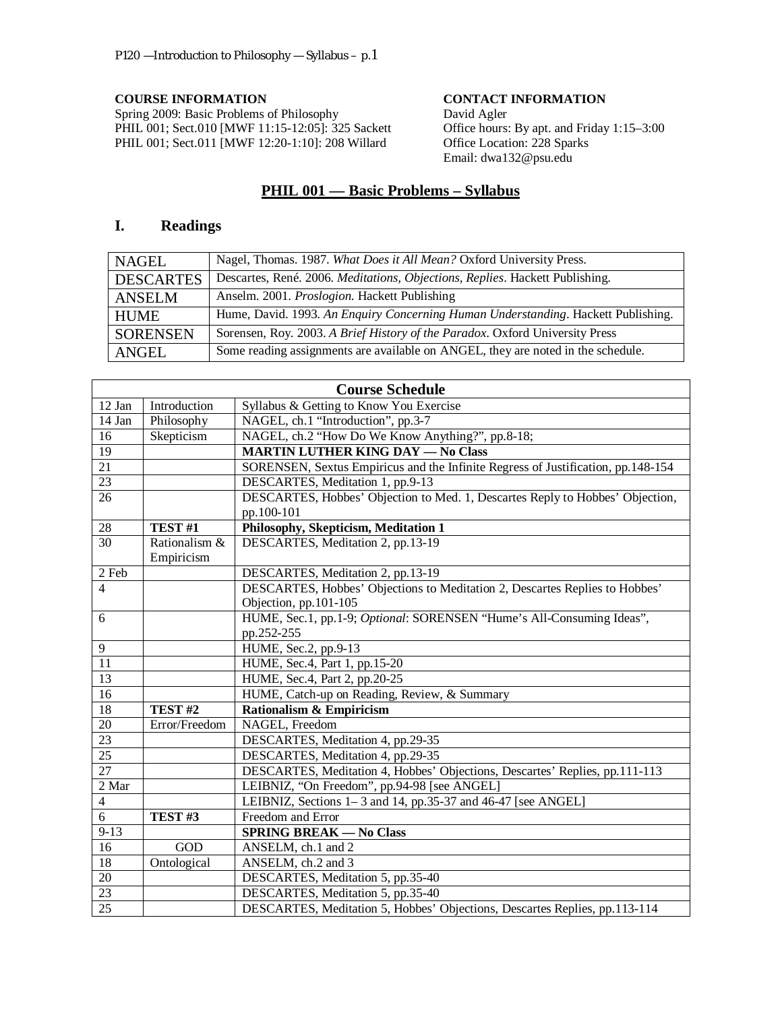**COURSE INFORMATION**<br>
Spring 2009: Basic Problems of Philosophy<br>
David Agler Spring 2009: Basic Problems of Philosophy PHIL 001; Sect.010 [MWF 11:15-12:05]: 325 Sackett PHIL 001; Sect.011 [MWF 12:20-1:10]: 208 Willard

Office hours: By apt. and Friday 1:15–3:00 Office Location: 228 Sparks Email: dwa132@psu.edu

# **PHIL 001 — Basic Problems – Syllabus**

# **I. Readings**

| NAGEL            | Nagel, Thomas. 1987. What Does it All Mean? Oxford University Press.              |  |
|------------------|-----------------------------------------------------------------------------------|--|
| <b>DESCARTES</b> | Descartes, René. 2006. Meditations, Objections, Replies. Hackett Publishing.      |  |
| <b>ANSELM</b>    | Anselm. 2001. Proslogion. Hackett Publishing                                      |  |
| <b>HUME</b>      | Hume, David. 1993. An Enquiry Concerning Human Understanding. Hackett Publishing. |  |
| <b>SORENSEN</b>  | Sorensen, Roy. 2003. A Brief History of the Paradox. Oxford University Press      |  |
| ANGEL            | Some reading assignments are available on ANGEL, they are noted in the schedule.  |  |

| <b>Course Schedule</b> |                    |                                                                                  |  |  |  |
|------------------------|--------------------|----------------------------------------------------------------------------------|--|--|--|
| 12 Jan                 | Introduction       | Syllabus & Getting to Know You Exercise                                          |  |  |  |
| 14 Jan                 | Philosophy         | NAGEL, ch.1 "Introduction", pp.3-7                                               |  |  |  |
| 16                     | Skepticism         | NAGEL, ch.2 "How Do We Know Anything?", pp.8-18;                                 |  |  |  |
| $\overline{19}$        |                    | <b>MARTIN LUTHER KING DAY - No Class</b>                                         |  |  |  |
| $\overline{21}$        |                    | SORENSEN, Sextus Empiricus and the Infinite Regress of Justification, pp.148-154 |  |  |  |
| 23                     |                    | DESCARTES, Meditation 1, pp.9-13                                                 |  |  |  |
| $\overline{26}$        |                    | DESCARTES, Hobbes' Objection to Med. 1, Descartes Reply to Hobbes' Objection,    |  |  |  |
|                        |                    | pp.100-101                                                                       |  |  |  |
| $\overline{28}$        | TEST #1            | Philosophy, Skepticism, Meditation 1                                             |  |  |  |
| 30                     | Rationalism &      | DESCARTES, Meditation 2, pp.13-19                                                |  |  |  |
|                        | Empiricism         |                                                                                  |  |  |  |
| 2 Feb                  |                    | DESCARTES, Meditation 2, pp.13-19                                                |  |  |  |
| $\overline{4}$         |                    | DESCARTES, Hobbes' Objections to Meditation 2, Descartes Replies to Hobbes'      |  |  |  |
|                        |                    | Objection, pp.101-105                                                            |  |  |  |
| 6                      |                    | HUME, Sec.1, pp.1-9; Optional: SORENSEN "Hume's All-Consuming Ideas",            |  |  |  |
|                        |                    | pp.252-255                                                                       |  |  |  |
| $\overline{9}$         |                    | HUME, Sec.2, pp.9-13                                                             |  |  |  |
| 11                     |                    | HUME, Sec.4, Part 1, pp.15-20                                                    |  |  |  |
| $\overline{13}$        |                    | HUME, Sec.4, Part 2, pp.20-25                                                    |  |  |  |
| 16                     |                    | HUME, Catch-up on Reading, Review, & Summary                                     |  |  |  |
| 18                     | TEST <sub>#2</sub> | <b>Rationalism &amp; Empiricism</b>                                              |  |  |  |
| $20\,$                 | Error/Freedom      | NAGEL, Freedom                                                                   |  |  |  |
| 23                     |                    | DESCARTES, Meditation 4, pp.29-35                                                |  |  |  |
| 25                     |                    | DESCARTES, Meditation 4, pp.29-35                                                |  |  |  |
| $\overline{27}$        |                    | DESCARTES, Meditation 4, Hobbes' Objections, Descartes' Replies, pp.111-113      |  |  |  |
| 2 Mar                  |                    | LEIBNIZ, "On Freedom", pp.94-98 [see ANGEL]                                      |  |  |  |
| 4                      |                    | LEIBNIZ, Sections 1-3 and 14, pp.35-37 and 46-47 [see ANGEL]                     |  |  |  |
| 6                      | TEST #3            | Freedom and Error                                                                |  |  |  |
| $9-13$                 |                    | <b>SPRING BREAK - No Class</b>                                                   |  |  |  |
| 16                     | $\rm GOD$          | ANSELM, ch.1 and 2                                                               |  |  |  |
| $\overline{18}$        | Ontological        | ANSELM, ch.2 and 3                                                               |  |  |  |
| $20\,$                 |                    | DESCARTES, Meditation 5, pp.35-40                                                |  |  |  |
| 23                     |                    | DESCARTES, Meditation 5, pp.35-40                                                |  |  |  |
| $\overline{25}$        |                    | DESCARTES, Meditation 5, Hobbes' Objections, Descartes Replies, pp.113-114       |  |  |  |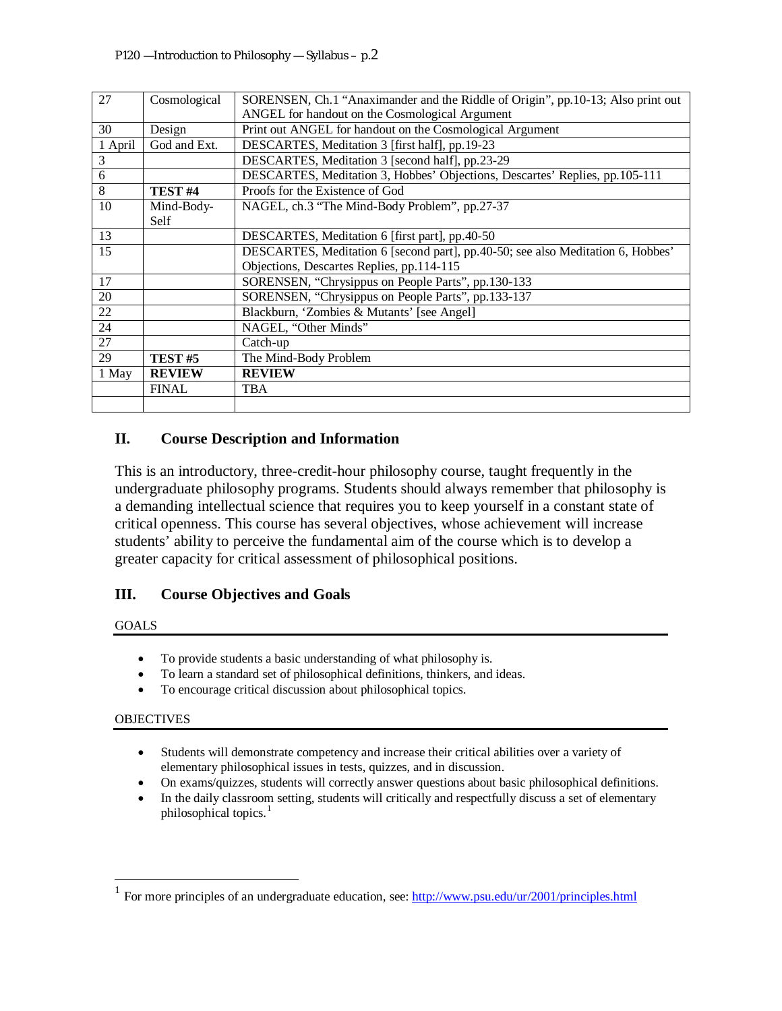| 27      | Cosmological       | SORENSEN, Ch.1 "Anaximander and the Riddle of Origin", pp.10-13; Also print out |  |  |  |
|---------|--------------------|---------------------------------------------------------------------------------|--|--|--|
|         |                    | ANGEL for handout on the Cosmological Argument                                  |  |  |  |
| 30      | Design             | Print out ANGEL for handout on the Cosmological Argument                        |  |  |  |
| 1 April | God and Ext.       | DESCARTES, Meditation 3 [first half], pp.19-23                                  |  |  |  |
| 3       |                    | DESCARTES, Meditation 3 [second half], pp.23-29                                 |  |  |  |
| 6       |                    | DESCARTES, Meditation 3, Hobbes' Objections, Descartes' Replies, pp.105-111     |  |  |  |
| 8       | TEST <sub>#4</sub> | Proofs for the Existence of God                                                 |  |  |  |
| 10      | Mind-Body-         | NAGEL, ch.3 "The Mind-Body Problem", pp.27-37                                   |  |  |  |
|         | Self               |                                                                                 |  |  |  |
| 13      |                    | DESCARTES, Meditation 6 [first part], pp.40-50                                  |  |  |  |
| 15      |                    | DESCARTES, Meditation 6 [second part], pp.40-50; see also Meditation 6, Hobbes' |  |  |  |
|         |                    | Objections, Descartes Replies, pp.114-115                                       |  |  |  |
| 17      |                    | SORENSEN, "Chrysippus on People Parts", pp.130-133                              |  |  |  |
| 20      |                    | SORENSEN, "Chrysippus on People Parts", pp.133-137                              |  |  |  |
| 22      |                    | Blackburn, 'Zombies & Mutants' [see Angel]                                      |  |  |  |
| 24      |                    | NAGEL, "Other Minds"                                                            |  |  |  |
| 27      |                    | Catch-up                                                                        |  |  |  |
| 29      | TEST <sub>#5</sub> | The Mind-Body Problem                                                           |  |  |  |
| 1 May   | <b>REVIEW</b>      | <b>REVIEW</b>                                                                   |  |  |  |
|         | <b>FINAL</b>       | <b>TBA</b>                                                                      |  |  |  |
|         |                    |                                                                                 |  |  |  |

# **II. Course Description and Information**

This is an introductory, three-credit-hour philosophy course, taught frequently in the undergraduate philosophy programs. Students should always remember that philosophy is a demanding intellectual science that requires you to keep yourself in a constant state of critical openness. This course has several objectives, whose achievement will increase students' ability to perceive the fundamental aim of the course which is to develop a greater capacity for critical assessment of philosophical positions.

# **III. Course Objectives and Goals**

## GOALS

- To provide students a basic understanding of what philosophy is.
- To learn a standard set of philosophical definitions, thinkers, and ideas.
- To encourage critical discussion about philosophical topics.

## OBJECTIVES

- Students will demonstrate competency and increase their critical abilities over a variety of elementary philosophical issues in tests, quizzes, and in discussion.
- On exams/quizzes, students will correctly answer questions about basic philosophical definitions.
- In the daily classroom setting, students will critically and respectfully discuss a set of elementary philosophical topics.<sup>[1](#page-1-0)</sup>

<span id="page-1-0"></span><sup>&</sup>lt;sup>1</sup> For more principles of an undergraduate education, see:<http://www.psu.edu/ur/2001/principles.html>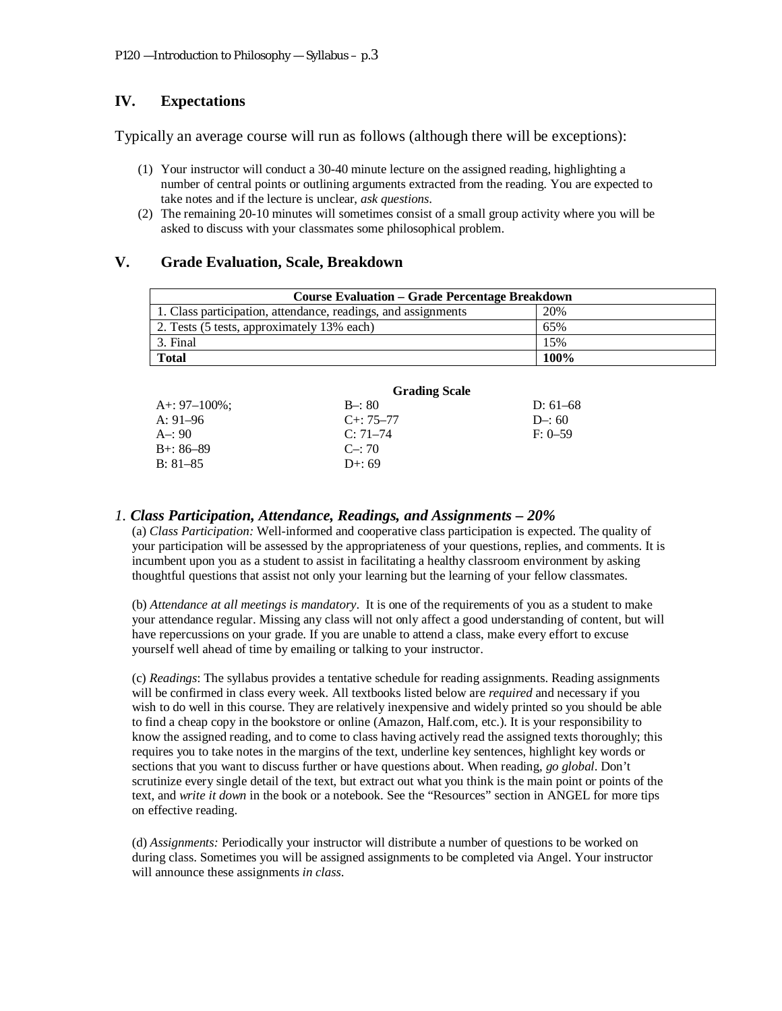# **IV. Expectations**

Typically an average course will run as follows (although there will be exceptions):

- (1) Your instructor will conduct a 30-40 minute lecture on the assigned reading, highlighting a number of central points or outlining arguments extracted from the reading. You are expected to take notes and if the lecture is unclear, *ask questions*.
- (2) The remaining 20-10 minutes will sometimes consist of a small group activity where you will be asked to discuss with your classmates some philosophical problem.

## **V. Grade Evaluation, Scale, Breakdown**

| <b>Course Evaluation – Grade Percentage Breakdown</b>         |      |  |  |  |
|---------------------------------------------------------------|------|--|--|--|
| 1. Class participation, attendance, readings, and assignments | 20%  |  |  |  |
| 2. Tests (5 tests, approximately 13% each)                    | 65%  |  |  |  |
| 3. Final                                                      | 15%  |  |  |  |
| <b>Total</b>                                                  | 100% |  |  |  |

|              | <b>Grading Scale</b> |            |
|--------------|----------------------|------------|
| A+: 97–100%; | $B - 80$             | D: $61-68$ |
| A: 91–96     | $C_{+}$ : 75–77      | $D-: 60$   |
| A–: 90       | $C: 71-74$           | $F: 0-59$  |
| B+: 86–89    | $C_{\text{}}$ : 70   |            |
| $B: 81-85$   | $D+: 69$             |            |
|              |                      |            |

## *1. Class Participation, Attendance, Readings, and Assignments – 20%*

(a) *Class Participation:* Well-informed and cooperative class participation is expected. The quality of your participation will be assessed by the appropriateness of your questions, replies, and comments. It is incumbent upon you as a student to assist in facilitating a healthy classroom environment by asking thoughtful questions that assist not only your learning but the learning of your fellow classmates.

(b) *Attendance at all meetings is mandatory*.It is one of the requirements of you as a student to make your attendance regular. Missing any class will not only affect a good understanding of content, but will have repercussions on your grade. If you are unable to attend a class, make every effort to excuse yourself well ahead of time by emailing or talking to your instructor.

(c) *Readings*: The syllabus provides a tentative schedule for reading assignments. Reading assignments will be confirmed in class every week. All textbooks listed below are *required* and necessary if you wish to do well in this course. They are relatively inexpensive and widely printed so you should be able to find a cheap copy in the bookstore or online (Amazon, Half.com, etc.). It is your responsibility to know the assigned reading, and to come to class having actively read the assigned texts thoroughly; this requires you to take notes in the margins of the text, underline key sentences, highlight key words or sections that you want to discuss further or have questions about. When reading, *go global*. Don't scrutinize every single detail of the text, but extract out what you think is the main point or points of the text, and *write it down* in the book or a notebook. See the "Resources" section in ANGEL for more tips on effective reading.

(d) *Assignments:* Periodically your instructor will distribute a number of questions to be worked on during class. Sometimes you will be assigned assignments to be completed via Angel. Your instructor will announce these assignments *in class*.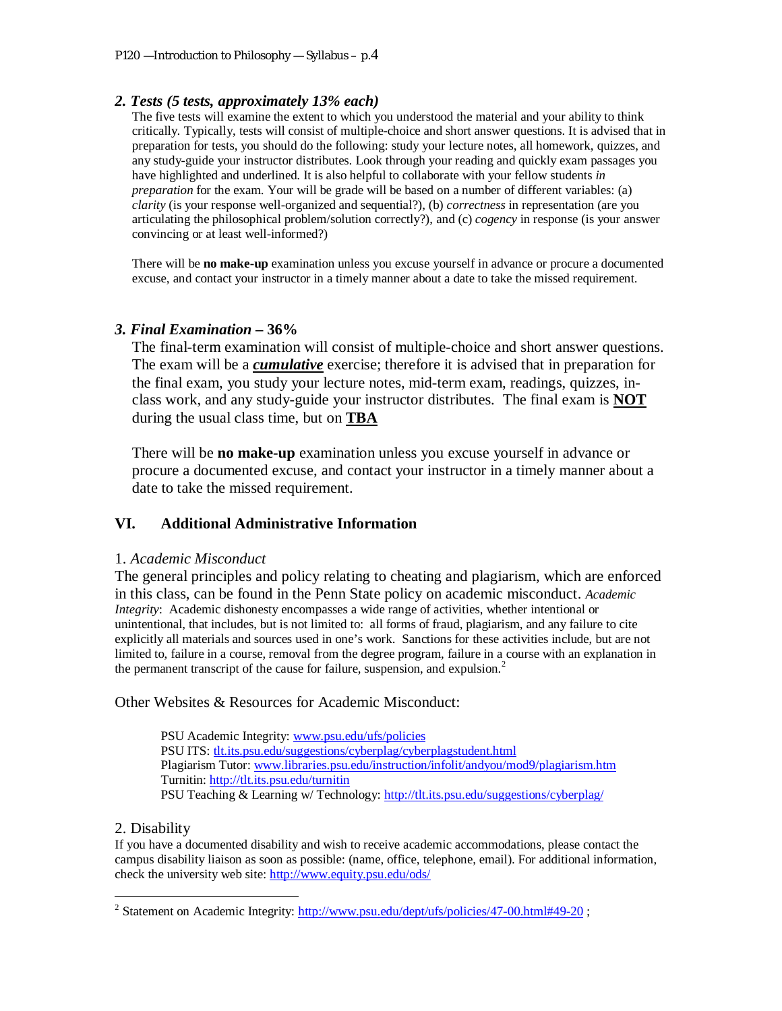## *2. Tests (5 tests, approximately 13% each)*

The five tests will examine the extent to which you understood the material and your ability to think critically. Typically, tests will consist of multiple-choice and short answer questions. It is advised that in preparation for tests, you should do the following: study your lecture notes, all homework, quizzes, and any study-guide your instructor distributes. Look through your reading and quickly exam passages you have highlighted and underlined. It is also helpful to collaborate with your fellow students *in preparation* for the exam. Your will be grade will be based on a number of different variables: (a) *clarity* (is your response well-organized and sequential?), (b) *correctness* in representation (are you articulating the philosophical problem/solution correctly?), and (c) *cogency* in response (is your answer convincing or at least well-informed?)

There will be **no make-up** examination unless you excuse yourself in advance or procure a documented excuse, and contact your instructor in a timely manner about a date to take the missed requirement.

#### *3. Final Examination* **– 36%**

The final-term examination will consist of multiple-choice and short answer questions. The exam will be a *cumulative* exercise; therefore it is advised that in preparation for the final exam, you study your lecture notes, mid-term exam, readings, quizzes, inclass work, and any study-guide your instructor distributes. The final exam is **NOT** during the usual class time, but on **TBA** 

There will be **no make-up** examination unless you excuse yourself in advance or procure a documented excuse, and contact your instructor in a timely manner about a date to take the missed requirement.

## **VI. Additional Administrative Information**

## 1. *Academic Misconduct*

The general principles and policy relating to cheating and plagiarism, which are enforced in this class, can be found in the Penn State policy on academic misconduct. *Academic Integrity*: Academic dishonesty encompasses a wide range of activities, whether intentional or unintentional, that includes, but is not limited to: all forms of fraud, plagiarism, and any failure to cite explicitly all materials and sources used in one's work. Sanctions for these activities include, but are not limited to, failure in a course, removal from the degree program, failure in a course with an explanation in the permanent transcript of the cause for failure, suspension, and expulsion.<sup>[2](#page-3-0)</sup>

Other Websites & Resources for Academic Misconduct:

PSU Academic Integrity: [www.psu.edu/ufs/policies](http://www.psu.edu/ufs/policies) PSU ITS: [tlt.its.psu.edu/suggestions/cyberplag/cyberplagstudent.html](http://tlt.its.psu.edu/suggestions/cyberplag/cyberplagstudent.html) Plagiarism Tutor: [www.libraries.psu.edu/instruction/infolit/andyou/mod9/plagiarism.htm](http://www.libraries.psu.edu/instruction/infolit/andyou/mod9/plagiarism.htm) Turnitin:<http://tlt.its.psu.edu/turnitin> PSU Teaching & Learning w/ Technology:<http://tlt.its.psu.edu/suggestions/cyberplag/>

## 2. Disability

If you have a documented disability and wish to receive academic accommodations, please contact the campus disability liaison as soon as possible: (name, office, telephone, email). For additional information, check the university web site:<http://www.equity.psu.edu/ods/>

<span id="page-3-0"></span><sup>&</sup>lt;sup>2</sup> Statement on Academic Integrity:<http://www.psu.edu/dept/ufs/policies/47-00.html#49-20>;